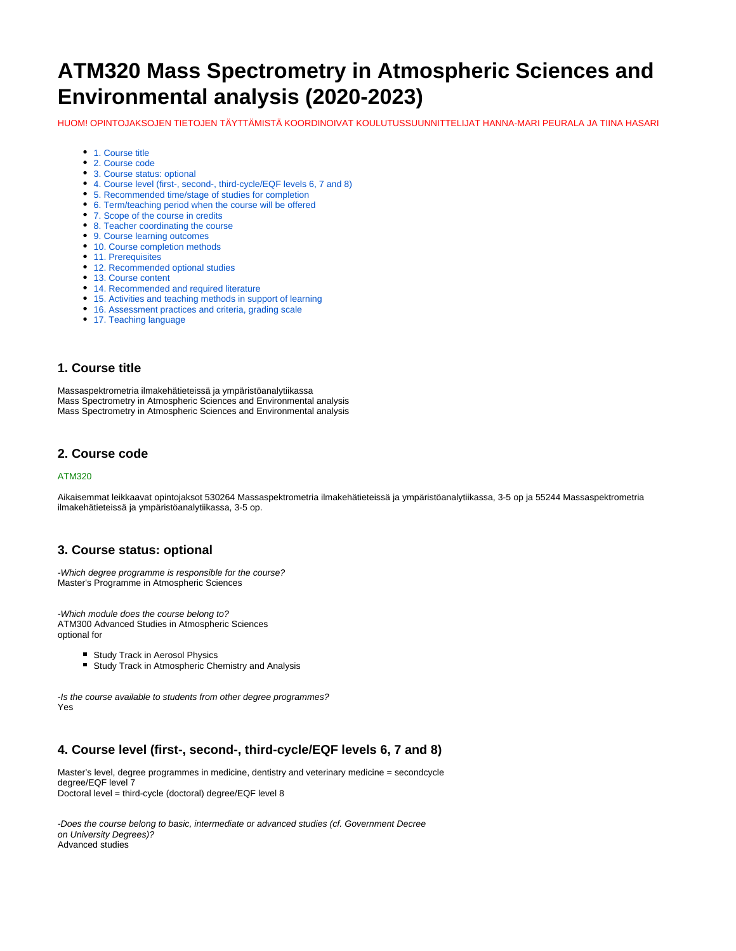# **ATM320 Mass Spectrometry in Atmospheric Sciences and Environmental analysis (2020-2023)**

HUOM! OPINTOJAKSOJEN TIETOJEN TÄYTTÄMISTÄ KOORDINOIVAT KOULUTUSSUUNNITTELIJAT HANNA-MARI PEURALA JA TIINA HASARI

- [1. Course title](#page-0-0)
- [2. Course code](#page-0-1)
- [3. Course status: optional](#page-0-2)
- [4. Course level \(first-, second-, third-cycle/EQF levels 6, 7 and 8\)](#page-0-3)
- [5. Recommended time/stage of studies for completion](#page-1-0)
- [6. Term/teaching period when the course will be offered](#page-1-1)
- [7. Scope of the course in credits](#page-1-2)
- [8. Teacher coordinating the course](#page-1-3)
- [9. Course learning outcomes](#page-1-4)
- [10. Course completion methods](#page-1-5)
- [11. Prerequisites](#page-1-6)
- [12. Recommended optional studies](#page-1-7)
- [13. Course content](#page-1-8)
- [14. Recommended and required literature](#page-1-9)
- [15. Activities and teaching methods in support of learning](#page-2-0)
- [16. Assessment practices and criteria, grading scale](#page-2-1)
- [17. Teaching language](#page-2-2)

### <span id="page-0-0"></span>**1. Course title**

Massaspektrometria ilmakehätieteissä ja ympäristöanalytiikassa Mass Spectrometry in Atmospheric Sciences and Environmental analysis Mass Spectrometry in Atmospheric Sciences and Environmental analysis

#### <span id="page-0-1"></span>**2. Course code**

#### ATM320

Aikaisemmat leikkaavat opintojaksot 530264 Massaspektrometria ilmakehätieteissä ja ympäristöanalytiikassa, 3-5 op ja 55244 Massaspektrometria ilmakehätieteissä ja ympäristöanalytiikassa, 3-5 op.

#### <span id="page-0-2"></span>**3. Course status: optional**

-Which degree programme is responsible for the course? Master's Programme in Atmospheric Sciences

-Which module does the course belong to? ATM300 Advanced Studies in Atmospheric Sciences optional for

- **Study Track in Aerosol Physics**
- Study Track in Atmospheric Chemistry and Analysis

-Is the course available to students from other degree programmes? Yes

## <span id="page-0-3"></span>**4. Course level (first-, second-, third-cycle/EQF levels 6, 7 and 8)**

Master's level, degree programmes in medicine, dentistry and veterinary medicine = secondcycle degree/EQF level 7 Doctoral level = third-cycle (doctoral) degree/EQF level 8

-Does the course belong to basic, intermediate or advanced studies (cf. Government Decree on University Degrees)? Advanced studies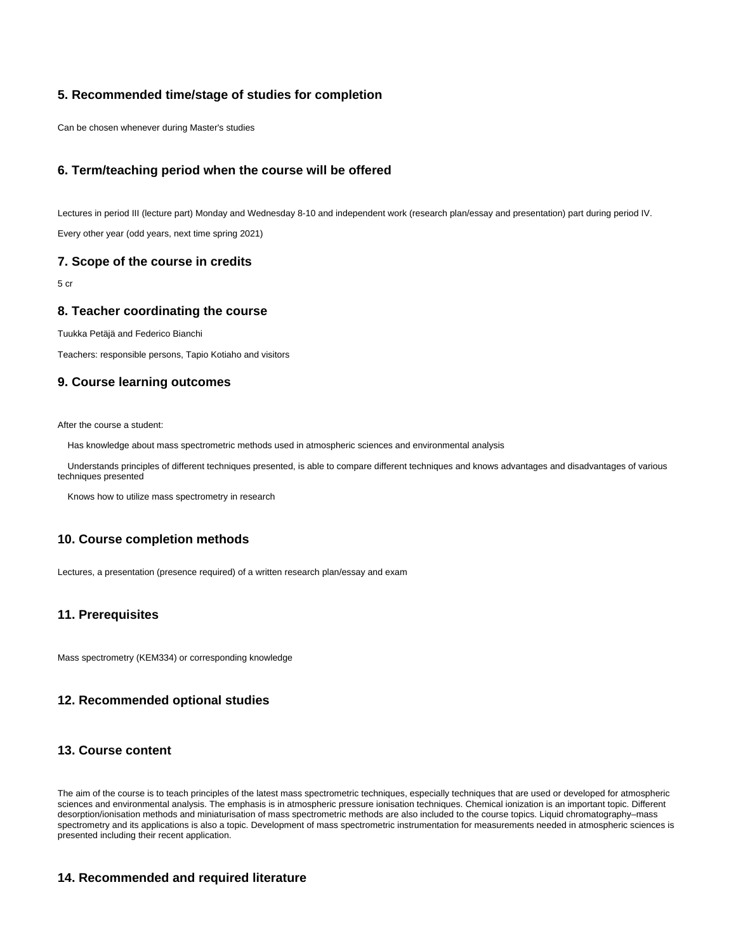## <span id="page-1-0"></span>**5. Recommended time/stage of studies for completion**

Can be chosen whenever during Master's studies

## <span id="page-1-1"></span>**6. Term/teaching period when the course will be offered**

Lectures in period III (lecture part) Monday and Wednesday 8-10 and independent work (research plan/essay and presentation) part during period IV. Every other year (odd years, next time spring 2021)

#### <span id="page-1-2"></span>**7. Scope of the course in credits**

5 cr

#### <span id="page-1-3"></span>**8. Teacher coordinating the course**

Tuukka Petäjä and Federico Bianchi

Teachers: responsible persons, Tapio Kotiaho and visitors

### <span id="page-1-4"></span>**9. Course learning outcomes**

After the course a student:

Has knowledge about mass spectrometric methods used in atmospheric sciences and environmental analysis

 Understands principles of different techniques presented, is able to compare different techniques and knows advantages and disadvantages of various techniques presented

Knows how to utilize mass spectrometry in research

#### <span id="page-1-5"></span>**10. Course completion methods**

Lectures, a presentation (presence required) of a written research plan/essay and exam

#### <span id="page-1-6"></span>**11. Prerequisites**

<span id="page-1-7"></span>Mass spectrometry (KEM334) or corresponding knowledge

## **12. Recommended optional studies**

#### <span id="page-1-8"></span>**13. Course content**

The aim of the course is to teach principles of the latest mass spectrometric techniques, especially techniques that are used or developed for atmospheric sciences and environmental analysis. The emphasis is in atmospheric pressure ionisation techniques. Chemical ionization is an important topic. Different desorption/ionisation methods and miniaturisation of mass spectrometric methods are also included to the course topics. Liquid chromatography–mass spectrometry and its applications is also a topic. Development of mass spectrometric instrumentation for measurements needed in atmospheric sciences is presented including their recent application.

#### <span id="page-1-9"></span>**14. Recommended and required literature**